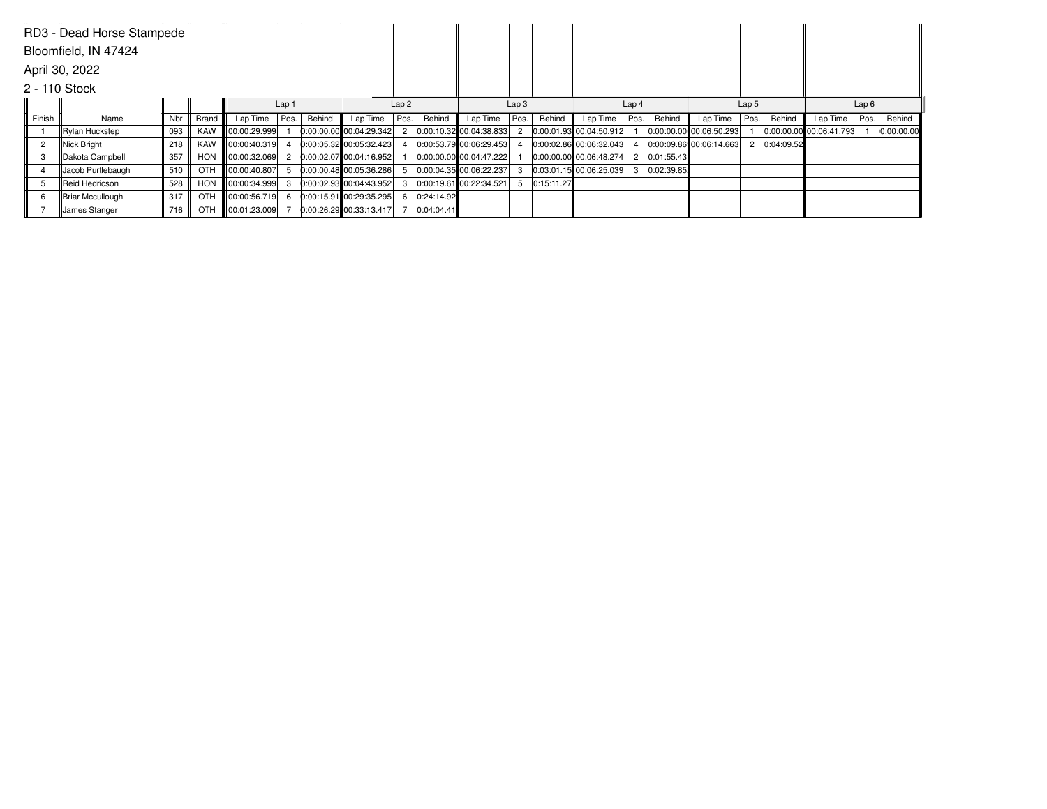| RD3 - Dead Horse Stampede |                   |     |       |                          |                |                  |                           |      |                  |                           |      |                  |                         |      |                  |                           |      |            |                         |      |            |
|---------------------------|-------------------|-----|-------|--------------------------|----------------|------------------|---------------------------|------|------------------|---------------------------|------|------------------|-------------------------|------|------------------|---------------------------|------|------------|-------------------------|------|------------|
| Bloomfield, IN 47424      |                   |     |       |                          |                |                  |                           |      |                  |                           |      |                  |                         |      |                  |                           |      |            |                         |      |            |
| April 30, 2022            |                   |     |       |                          |                |                  |                           |      |                  |                           |      |                  |                         |      |                  |                           |      |            |                         |      |            |
| 2 - 110 Stock             |                   |     |       |                          |                |                  |                           |      |                  |                           |      |                  |                         |      |                  |                           |      |            |                         |      |            |
|                           |                   |     |       | Lap 1                    |                | Lap <sub>2</sub> |                           |      | Lap <sub>3</sub> |                           |      | Lap <sub>4</sub> |                         |      | Lap <sub>5</sub> |                           |      | Lap6       |                         |      |            |
| Finish                    | Name              | Nbr | Brand | Lap Time                 | Pos.           | Behind           | Lap Time                  | Pos. | Behind           | Lap Time                  | Pos. | Behind           | Lap Time                | Pos. | Behind           | Lap Time                  | Pos. | Behind     | Lap Time                | Pos. | Behind     |
|                           | Rylan Huckstep    | 093 | KAW   | $\ $ 00:00:29.999        |                |                  | $0:00:00.00$ 00:04:29.342 |      |                  | 0:00:10.32 00:04:38.833   |      |                  | 0:00:01.93 00:04:50.912 |      |                  | $0:00:00.00$ 00:06:50.293 |      |            | 0:00:00.00 00:06:41.793 |      | 0:00:00.00 |
| $\overline{2}$            | Nick Bright       | 218 | KAW   | $\ 00:00:40.319\ $       |                |                  | $0:00:05.32$ 00:05:32.423 |      |                  | 0:00:53.79 00:06:29.453   |      |                  | 0:00:02.86 00:06:32.043 |      |                  | $0:00:09.86$ 00:06:14.663 |      | 0:04:09.52 |                         |      |            |
| 3                         | Dakota Campbell   | 357 | HON   | $\ 00:00:32.069\ $       | $\overline{2}$ |                  | 0:00:02.07 00:04:16.952   |      |                  | $0.00.00.00$ 00:04:47.222 |      |                  | 0:00:00.00 00:06:48.274 |      | 2 0:01:55.43     |                           |      |            |                         |      |            |
| 4                         | Jacob Purtlebaugh | 510 | OTH   | $\  00:00:40.807 \ $     | 5              |                  | 0:00:00.48 00:05:36.286   |      |                  | 0.00.04.35 00.06.22.237   |      |                  | 0:03:01.15 00:06:25.039 |      | 0:02:39.85       |                           |      |            |                         |      |            |
| 5                         | Reid Hedricson    | 528 | HON   | $\ 00:00:34.999\ $       | 3              |                  | $0:00:02.93$ 00:04:43.952 |      |                  | 0:00:19.61 00:22:34.521   |      | 0:15:11.27       |                         |      |                  |                           |      |            |                         |      |            |
| 6                         | Briar Mccullough  | 317 | OTH   | $\parallel$ 00:00:56.719 | 6              |                  | 0:00:15.91 00:29:35.295   |      | 0:24:14.92       |                           |      |                  |                         |      |                  |                           |      |            |                         |      |            |
|                           | James Stanger     | 716 | OTH   | 00:01:23.009             |                |                  | 0:00:26.29 00:33:13.417   |      | 0:04:04.41       |                           |      |                  |                         |      |                  |                           |      |            |                         |      |            |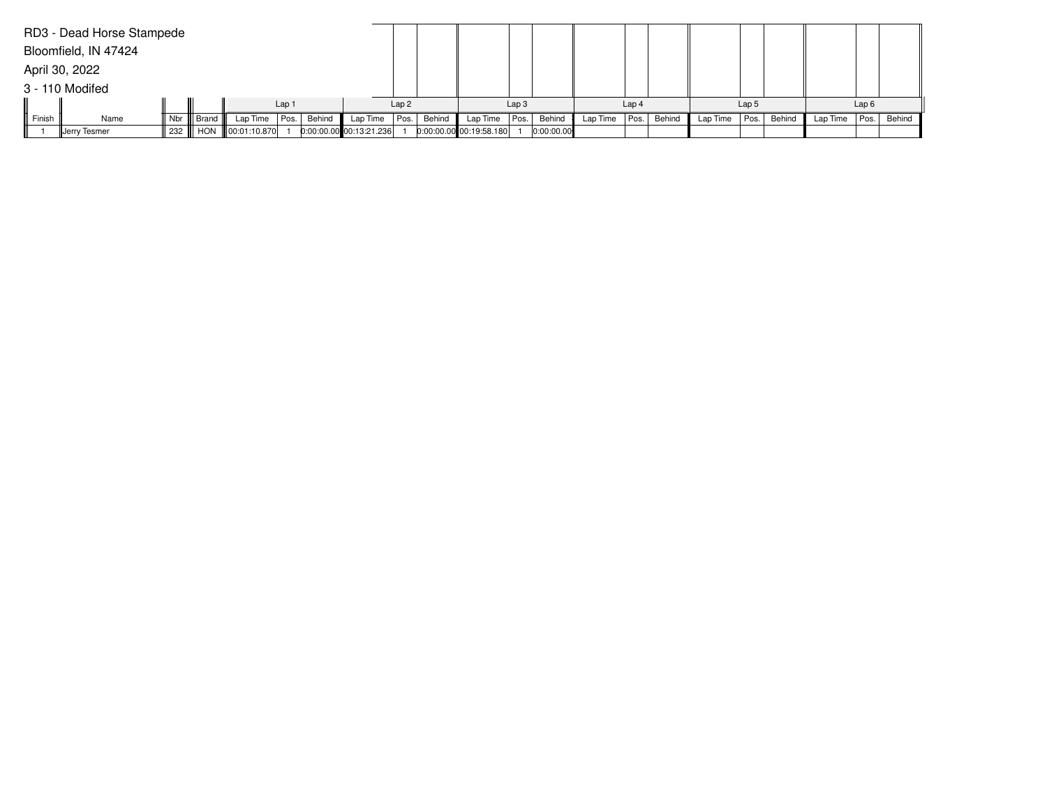|        | RD3 - Dead Horse Stampede |          |       |                            |      |        |                           |      |        |                           |  |            |                  |      |        |                  |      |        |          |      |        |
|--------|---------------------------|----------|-------|----------------------------|------|--------|---------------------------|------|--------|---------------------------|--|------------|------------------|------|--------|------------------|------|--------|----------|------|--------|
|        | Bloomfield, IN 47424      |          |       |                            |      |        |                           |      |        |                           |  |            |                  |      |        |                  |      |        |          |      |        |
|        | April 30, 2022            |          |       |                            |      |        |                           |      |        |                           |  |            |                  |      |        |                  |      |        |          |      |        |
|        | 3 - 110 Modifed           |          |       |                            |      |        |                           |      |        |                           |  |            |                  |      |        |                  |      |        |          |      |        |
|        |                           |          |       | Lap <sub>1</sub>           |      |        | Lap2                      |      |        | Lap <sub>3</sub>          |  |            | Lap <sub>4</sub> |      |        | Lap <sub>5</sub> |      |        | Lap6     |      |        |
| Finish | Name                      | Nbr $\ $ | Brand | Lap Time                   | Pos. | Behind | Lap Time                  | Pos. | Behind | Lap Time   Pos.           |  | Behind     | Lap Time         | Pos. | Behind | Lap Time         | Pos. | Behind | Lap Time | Pos. | Behind |
|        | Jerry Tesmer              |          |       | 1232    HON   00:01:10.870 |      |        | $0:00:00.00$ 00:13:21.236 |      |        | $0:00:00.00$ 00:19:58.180 |  | 0:00:00.00 |                  |      |        |                  |      |        |          |      |        |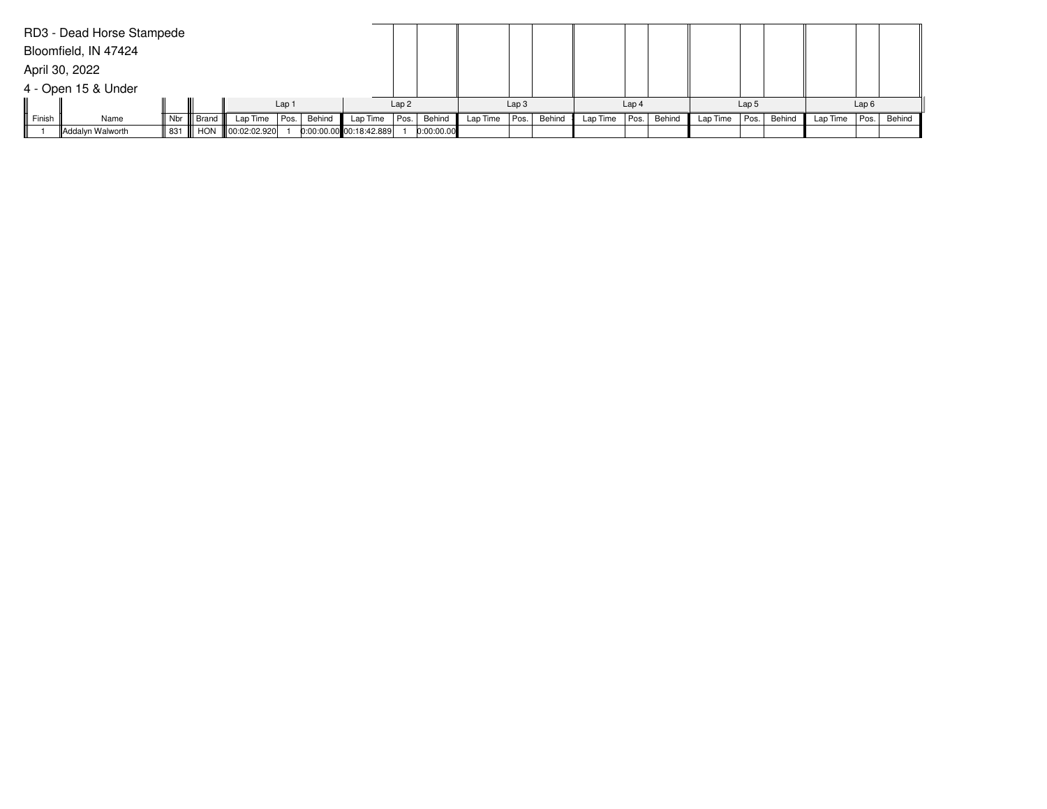|        | RD3 - Dead Horse Stampede |                  |  |                                 |  |        |                         |      |            |                  |      |        |                  |      |        |                  |      |        |          |      |        |
|--------|---------------------------|------------------|--|---------------------------------|--|--------|-------------------------|------|------------|------------------|------|--------|------------------|------|--------|------------------|------|--------|----------|------|--------|
|        | Bloomfield, IN 47424      |                  |  |                                 |  |        |                         |      |            |                  |      |        |                  |      |        |                  |      |        |          |      |        |
|        | April 30, 2022            |                  |  |                                 |  |        |                         |      |            |                  |      |        |                  |      |        |                  |      |        |          |      |        |
|        | 4 - Open 15 & Under       |                  |  |                                 |  |        |                         |      |            |                  |      |        |                  |      |        |                  |      |        |          |      |        |
|        |                           | Lap <sub>1</sub> |  |                                 |  |        | Lap2                    |      |            | Lap <sub>3</sub> |      |        | Lap <sub>4</sub> |      |        | Lap <sub>5</sub> |      |        | Lap6     |      |        |
| Finish | Name                      |                  |  | Nbr    Brand    Lap Time   Pos. |  | Behind | Lap Time                | Pos. | Behind     | Lap Time         | Pos. | Behind | Lap Time         | Pos. | Behind | Lap Time         | Pos. | Behind | Lap Time | Pos. | Behind |
|        | Addalyn Walworth          |                  |  | 831 HON 00:02:02.920            |  |        | 0:00:00.00 00:18:42.889 |      | 0:00:00.00 |                  |      |        |                  |      |        |                  |      |        |          |      |        |